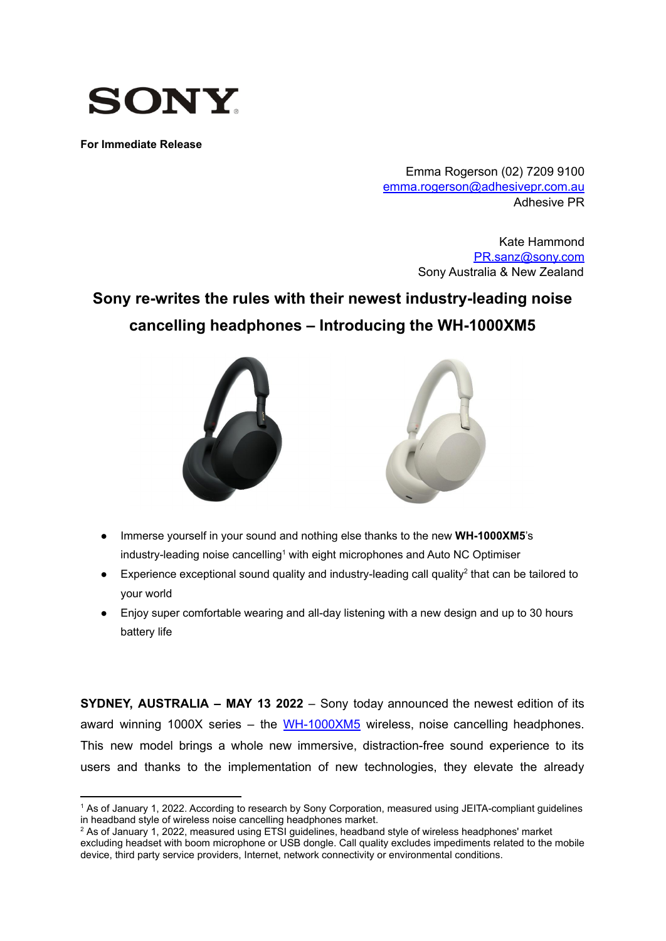

**For Immediate Release**

Emma Rogerson (02) 7209 9100 [emma.rogerson@adhesivepr.com.au](mailto:emma.rogerson@adhesivepr.com.au) Adhesive PR

> Kate Hammond [PR.sanz@sony.com](mailto:PR.sanz@sony.com) Sony Australia & New Zealand

# **Sony re-writes the rules with their newest industry-leading noise cancelling headphones – Introducing the WH-1000XM5**



- **●** Immerse yourself in your sound and nothing else thanks to the new **WH-1000XM5**'s industry-leading noise cancelling<sup>1</sup> with eight microphones and Auto NC Optimiser
- $\bullet$  Experience exceptional sound quality and industry-leading call quality<sup>2</sup> that can be tailored to your world
- Enjoy super comfortable wearing and all-day listening with a new design and up to 30 hours battery life

**SYDNEY, AUSTRALIA – MAY 13 2022** – Sony today announced the newest edition of its award winning 1000X series – the  $WH-1000XM5$  wireless, noise cancelling headphones. This new model brings a whole new immersive, distraction-free sound experience to its users and thanks to the implementation of new technologies, they elevate the already

<sup>1</sup> As of January 1, 2022. According to research by Sony Corporation, measured using JEITA-compliant guidelines in headband style of wireless noise cancelling headphones market.

<sup>&</sup>lt;sup>2</sup> As of January 1, 2022, measured using ETSI guidelines, headband style of wireless headphones' market excluding headset with boom microphone or USB dongle. Call quality excludes impediments related to the mobile device, third party service providers, Internet, network connectivity or environmental conditions.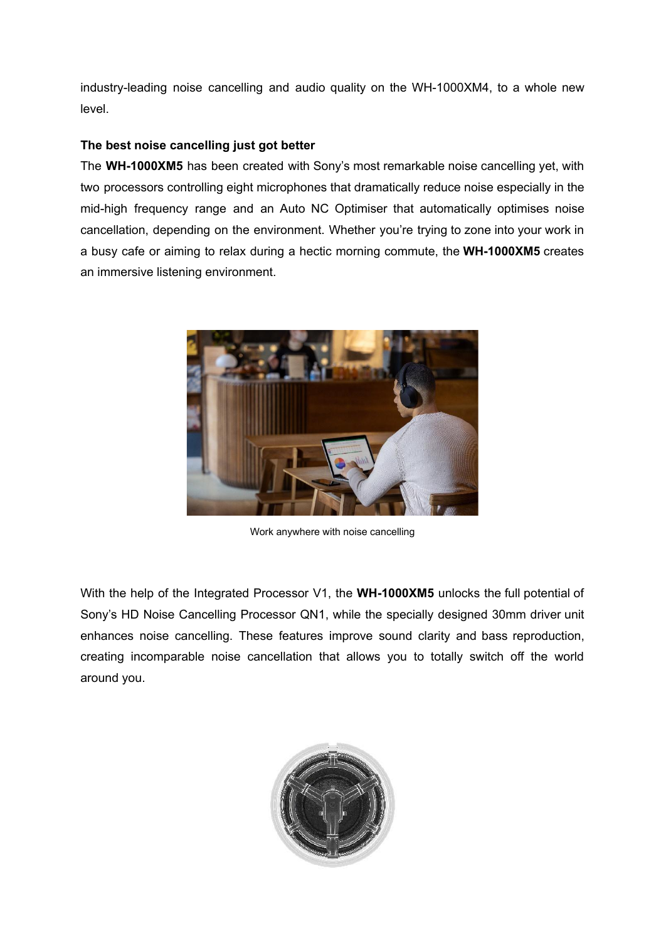industry-leading noise cancelling and audio quality on the WH-1000XM4, to a whole new level.

# **The best noise cancelling just got better**

The **WH-1000XM5** has been created with Sony's most remarkable noise cancelling yet, with two processors controlling eight microphones that dramatically reduce noise especially in the mid-high frequency range and an Auto NC Optimiser that automatically optimises noise cancellation, depending on the environment. Whether you're trying to zone into your work in a busy cafe or aiming to relax during a hectic morning commute, the **WH-1000XM5** creates an immersive listening environment.



Work anywhere with noise cancelling

With the help of the Integrated Processor V1, the **WH-1000XM5** unlocks the full potential of Sony's HD Noise Cancelling Processor QN1, while the specially designed 30mm driver unit enhances noise cancelling. These features improve sound clarity and bass reproduction, creating incomparable noise cancellation that allows you to totally switch off the world around you.

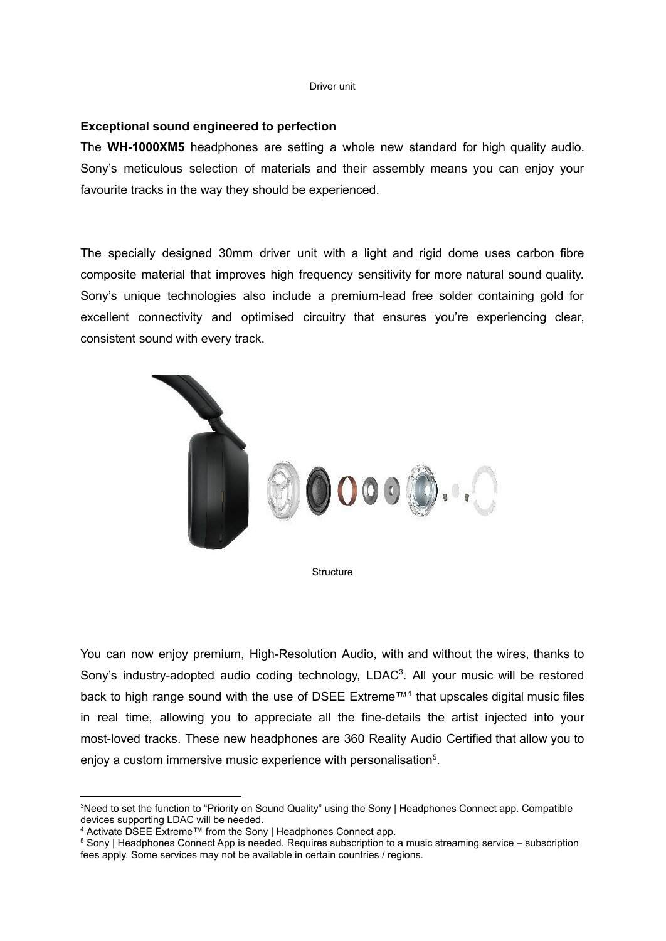#### Driver unit

#### **Exceptional sound engineered to perfection**

The **WH-1000XM5** headphones are setting a whole new standard for high quality audio. Sony's meticulous selection of materials and their assembly means you can enjoy your favourite tracks in the way they should be experienced.

The specially designed 30mm driver unit with a light and rigid dome uses carbon fibre composite material that improves high frequency sensitivity for more natural sound quality. Sony's unique technologies also include a premium-lead free solder containing gold for excellent connectivity and optimised circuitry that ensures you're experiencing clear, consistent sound with every track.



**Structure** 

You can now enjoy premium, High-Resolution Audio, with and without the wires, thanks to Sony's industry-adopted audio coding technology, LDAC<sup>3</sup>. All your music will be restored back to high range sound with the use of DSEE Extreme™<sup>4</sup> that upscales digital music files in real time, allowing you to appreciate all the fine-details the artist injected into your most-loved tracks. These new headphones are 360 Reality Audio Certified that allow you to enjoy a custom immersive music experience with personalisation<sup>5</sup>.

<sup>&</sup>lt;sup>3</sup>Need to set the function to "Priority on Sound Quality" using the Sony | Headphones Connect app. Compatible devices supporting LDAC will be needed.

<sup>4</sup> Activate DSEE Extreme™ from the Sony | Headphones Connect app.

<sup>5</sup> Sony | Headphones Connect App is needed. Requires subscription to a music streaming service – subscription fees apply. Some services may not be available in certain countries / regions.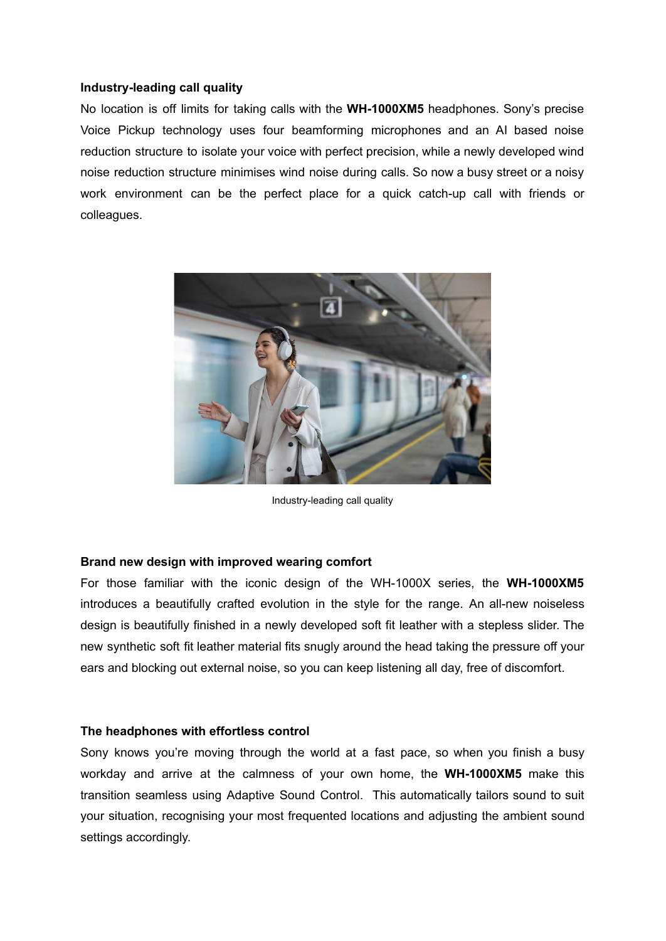#### **Industry-leading call quality**

No location is off limits for taking calls with the **WH-1000XM5** headphones. Sony's precise Voice Pickup technology uses four beamforming microphones and an AI based noise reduction structure to isolate your voice with perfect precision, while a newly developed wind noise reduction structure minimises wind noise during calls. So now a busy street or a noisy work environment can be the perfect place for a quick catch-up call with friends or colleagues.



Industry-leading call quality

# **Brand new design with improved wearing comfort**

For those familiar with the iconic design of the WH-1000X series, the **WH-1000XM5** introduces a beautifully crafted evolution in the style for the range. An all-new noiseless design is beautifully finished in a newly developed soft fit leather with a stepless slider. The new synthetic soft fit leather material fits snugly around the head taking the pressure off your ears and blocking out external noise, so you can keep listening all day, free of discomfort.

#### **The headphones with effortless control**

Sony knows you're moving through the world at a fast pace, so when you finish a busy workday and arrive at the calmness of your own home, the **WH-1000XM5** make this transition seamless using Adaptive Sound Control. This automatically tailors sound to suit your situation, recognising your most frequented locations and adjusting the ambient sound settings accordingly.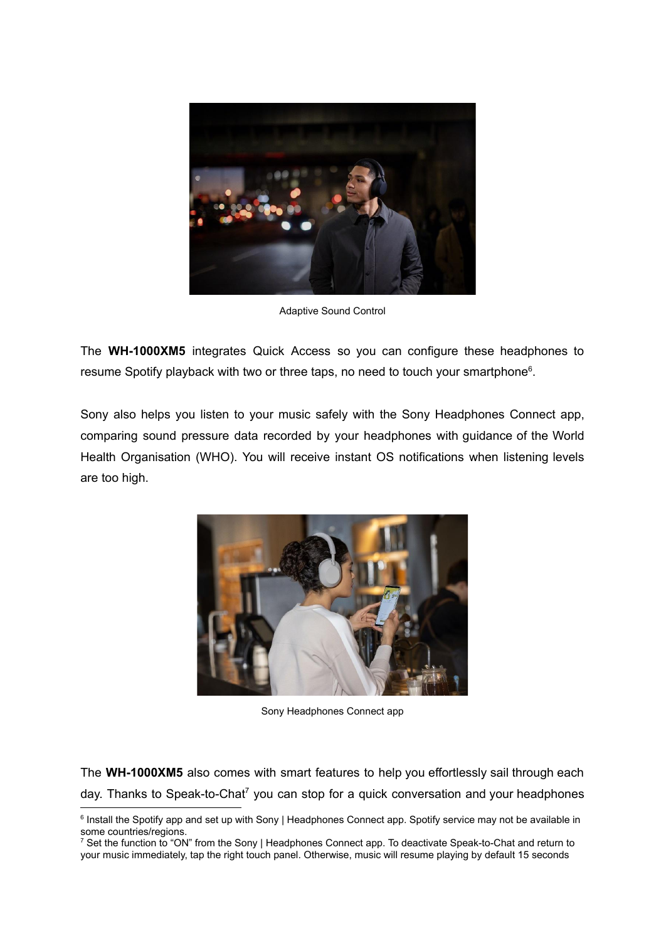

Adaptive Sound Control

The **WH-1000XM5** integrates Quick Access so you can configure these headphones to resume Spotify playback with two or three taps, no need to touch your smartphone<sup>6</sup>.

Sony also helps you listen to your music safely with the Sony Headphones Connect app, comparing sound pressure data recorded by your headphones with guidance of the World Health Organisation (WHO). You will receive instant OS notifications when listening levels are too high.



Sony Headphones Connect app

The **WH-1000XM5** also comes with smart features to help you effortlessly sail through each day. Thanks to Speak-to-Chat<sup>7</sup> you can stop for a quick conversation and your headphones

<sup>&</sup>lt;sup>6</sup> Install the Spotify app and set up with Sony | Headphones Connect app. Spotify service may not be available in some countries/regions.

<sup>&</sup>lt;sup>7</sup> Set the function to "ON" from the Sony | Headphones Connect app. To deactivate Speak-to-Chat and return to your music immediately, tap the right touch panel. Otherwise, music will resume playing by default 15 seconds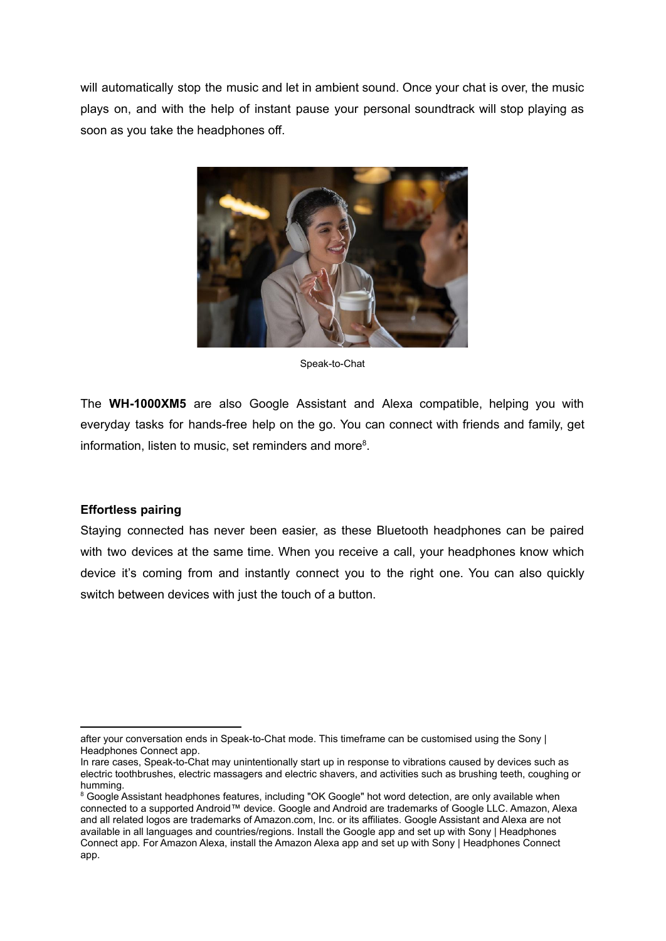will automatically stop the music and let in ambient sound. Once your chat is over, the music plays on, and with the help of instant pause your personal soundtrack will stop playing as soon as you take the headphones off.



Speak-to-Chat

The **WH-1000XM5** are also Google Assistant and Alexa compatible, helping you with everyday tasks for hands-free help on the go. You can connect with friends and family, get information, listen to music, set reminders and more<sup>8</sup>.

# **Effortless pairing**

Staying connected has never been easier, as these Bluetooth headphones can be paired with two devices at the same time. When you receive a call, your headphones know which device it's coming from and instantly connect you to the right one. You can also quickly switch between devices with just the touch of a button.

after your conversation ends in Speak-to-Chat mode. This timeframe can be customised using the Sony | Headphones Connect app.

In rare cases, Speak-to-Chat may unintentionally start up in response to vibrations caused by devices such as electric toothbrushes, electric massagers and electric shavers, and activities such as brushing teeth, coughing or humming.

<sup>&</sup>lt;sup>8</sup> Google Assistant headphones features, including "OK Google" hot word detection, are only available when connected to a supported Android™ device. Google and Android are trademarks of Google LLC. Amazon, Alexa and all related logos are trademarks of Amazon.com, Inc. or its affiliates. Google Assistant and Alexa are not available in all languages and countries/regions. Install the Google app and set up with Sony | Headphones Connect app. For Amazon Alexa, install the Amazon Alexa app and set up with Sony | Headphones Connect app.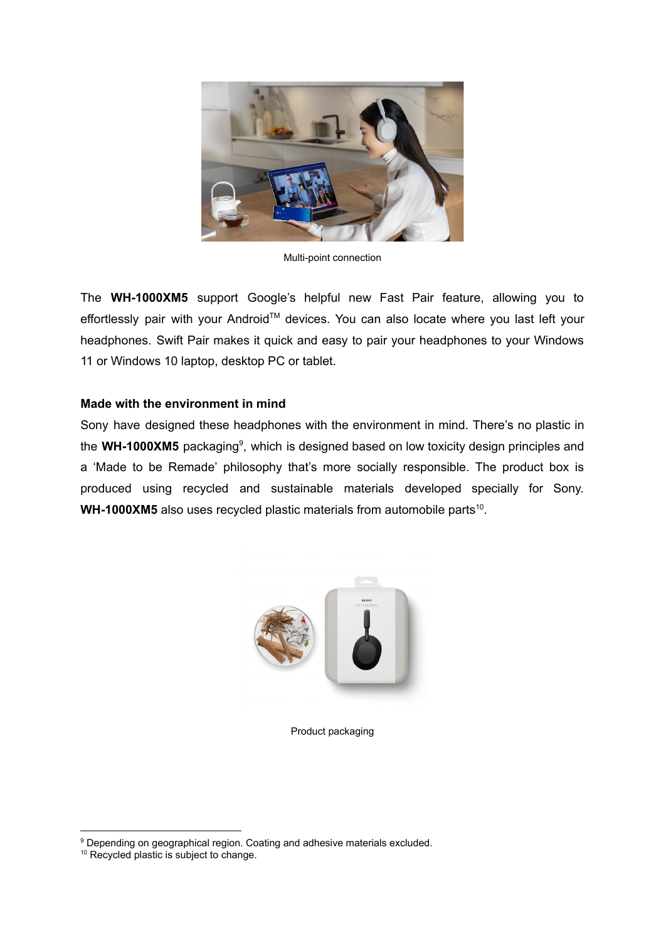

Multi-point connection

The **WH-1000XM5** support Google's helpful new Fast Pair feature, allowing you to effortlessly pair with your Android™ devices. You can also locate where you last left your headphones. Swift Pair makes it quick and easy to pair your headphones to your Windows 11 or Windows 10 laptop, desktop PC or tablet.

# **Made with the environment in mind**

Sony have designed these headphones with the environment in mind. There's no plastic in the WH-1000XM5 packaging<sup>9</sup>, which is designed based on low toxicity design principles and a 'Made to be Remade' philosophy that's more socially responsible. The product box is produced using recycled and sustainable materials developed specially for Sony. WH-1000XM5 also uses recycled plastic materials from automobile parts<sup>10</sup>.



Product packaging

<sup>&</sup>lt;sup>9</sup> Depending on geographical region. Coating and adhesive materials excluded.

<sup>&</sup>lt;sup>10</sup> Recycled plastic is subject to change.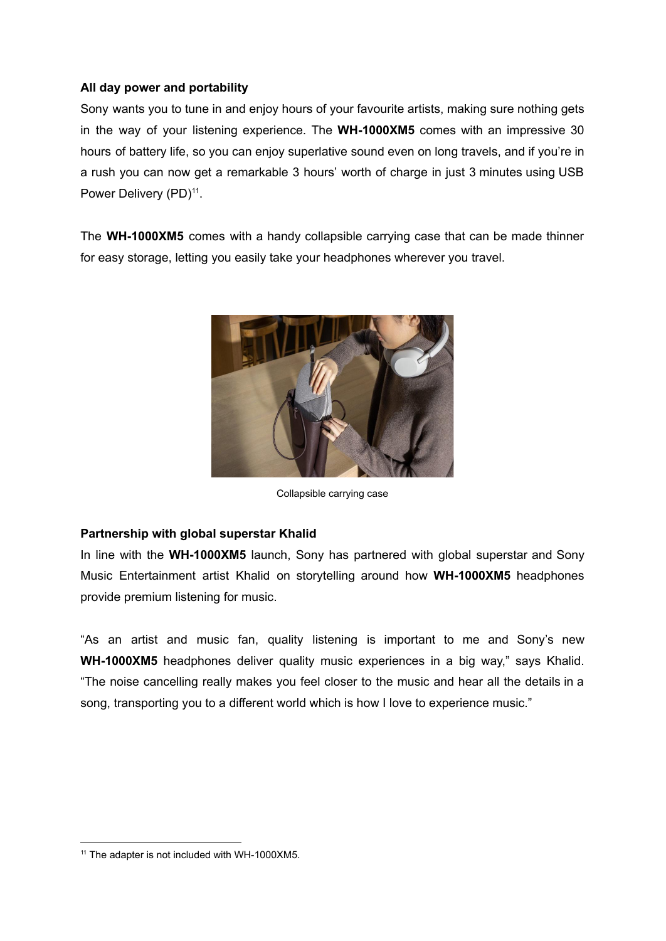# **All day power and portability**

Sony wants you to tune in and enjoy hours of your favourite artists, making sure nothing gets in the way of your listening experience. The **WH-1000XM5** comes with an impressive 30 hours of battery life, so you can enjoy superlative sound even on long travels, and if you're in a rush you can now get a remarkable 3 hours' worth of charge in just 3 minutes using USB Power Delivery (PD)<sup>11</sup>.

The **WH-1000XM5** comes with a handy collapsible carrying case that can be made thinner for easy storage, letting you easily take your headphones wherever you travel.



Collapsible carrying case

# **Partnership with global superstar Khalid**

In line with the **WH-1000XM5** launch, Sony has partnered with global superstar and Sony Music Entertainment artist Khalid on storytelling around how **WH-1000XM5** headphones provide premium listening for music.

"As an artist and music fan, quality listening is important to me and Sony's new **WH-1000XM5** headphones deliver quality music experiences in a big way," says Khalid. "The noise cancelling really makes you feel closer to the music and hear all the details in a song, transporting you to a different world which is how I love to experience music."

<sup>&</sup>lt;sup>11</sup> The adapter is not included with WH-1000XM5.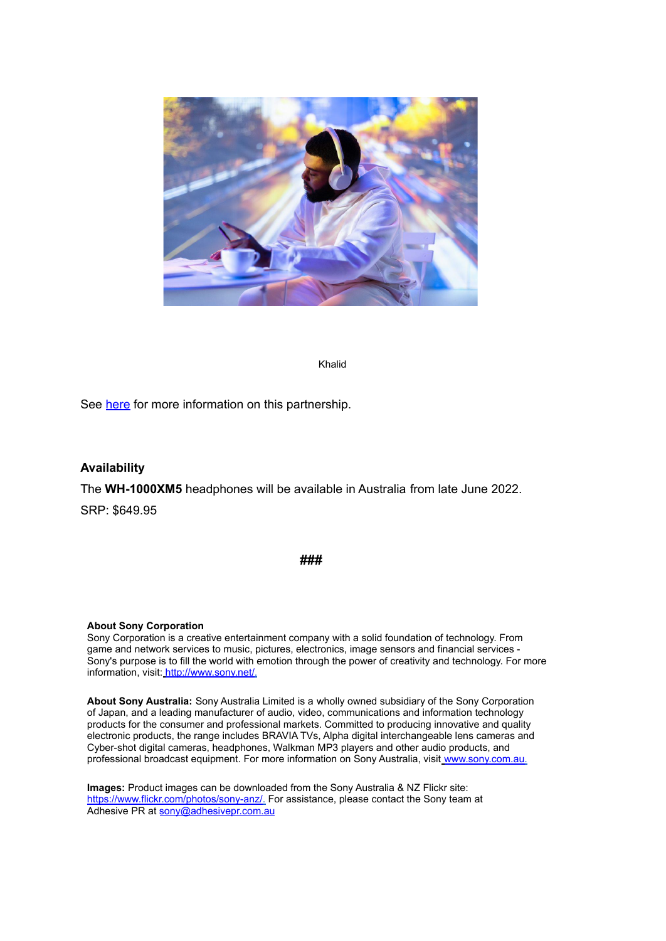

Khalid

See [here](https://youtu.be/JDGiEEGP7L8) for more information on this partnership.

#### **Availability**

The **WH-1000XM5** headphones will be available in Australia from late June 2022. SRP: \$649.95

**###**

#### **About Sony Corporation**

Sony Corporation is a creative entertainment company with a solid foundation of technology. From game and network services to music, pictures, electronics, image sensors and financial services - Sony's purpose is to fill the world with emotion through the power of creativity and technology. For more information, visit: [http://www.sony.net/.](http://www.sony.net/)

**About Sony Australia:** Sony Australia Limited is a wholly owned subsidiary of the Sony Corporation of Japan, and a leading manufacturer of audio, video, communications and information technology products for the consumer and professional markets. Committed to producing innovative and quality electronic products, the range includes BRAVIA TVs, Alpha digital interchangeable lens cameras and Cyber-shot digital cameras, headphones, Walkman MP3 players and other audio products, and professional broadcast equipment. For more information on Sony Australia, visit [www.sony.com.au.](http://www.sony.com.au/)

**Images:** Product images can be downloaded from the Sony Australia & NZ Flickr site: [https://www.flickr.com/photos/sony-anz/.](https://www.flickr.com/photos/sony-anz/) For assistance, please contact the Sony team at Adhesive PR at sony@adhesivepr.com.au